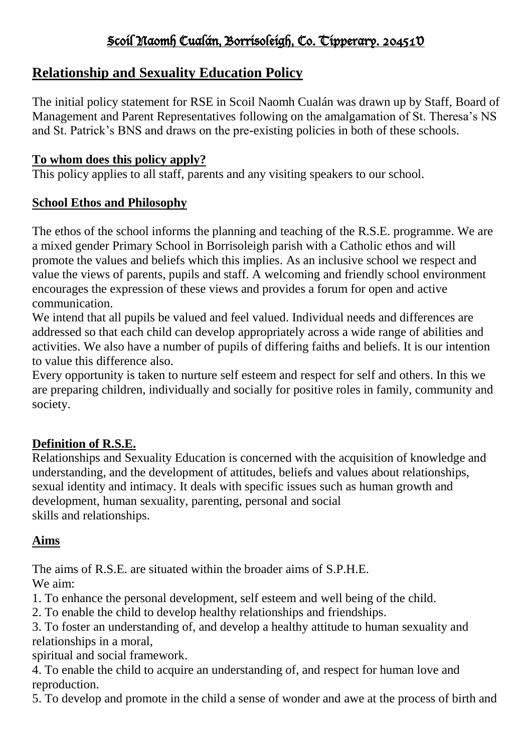# Scoil Naomh Cualán, Borrisoleigh, Co. Tipperary. 20451V

# **Relationship and Sexuality Education Policy**

The initial policy statement for RSE in Scoil Naomh Cualán was drawn up by Staff, Board of Management and Parent Representatives following on the amalgamation of St. Theresa's NS and St. Patrick's BNS and draws on the pre-existing policies in both of these schools.

#### **To whom does this policy apply?**

This policy applies to all staff, parents and any visiting speakers to our school.

#### **School Ethos and Philosophy**

The ethos of the school informs the planning and teaching of the R.S.E. programme. We are a mixed gender Primary School in Borrisoleigh parish with a Catholic ethos and will promote the values and beliefs which this implies. As an inclusive school we respect and value the views of parents, pupils and staff. A welcoming and friendly school environment encourages the expression of these views and provides a forum for open and active communication.

We intend that all pupils be valued and feel valued. Individual needs and differences are addressed so that each child can develop appropriately across a wide range of abilities and activities. We also have a number of pupils of differing faiths and beliefs. It is our intention to value this difference also.

Every opportunity is taken to nurture self esteem and respect for self and others. In this we are preparing children, individually and socially for positive roles in family, community and society.

### **Definition of R.S.E.**

Relationships and Sexuality Education is concerned with the acquisition of knowledge and understanding, and the development of attitudes, beliefs and values about relationships, sexual identity and intimacy. It deals with specific issues such as human growth and development, human sexuality, parenting, personal and social skills and relationships.

### **Aims**

The aims of R.S.E. are situated within the broader aims of S.P.H.E.

We aim:

1. To enhance the personal development, self esteem and well being of the child.

2. To enable the child to develop healthy relationships and friendships.

3. To foster an understanding of, and develop a healthy attitude to human sexuality and relationships in a moral,

spiritual and social framework.

4. To enable the child to acquire an understanding of, and respect for human love and reproduction.

5. To develop and promote in the child a sense of wonder and awe at the process of birth and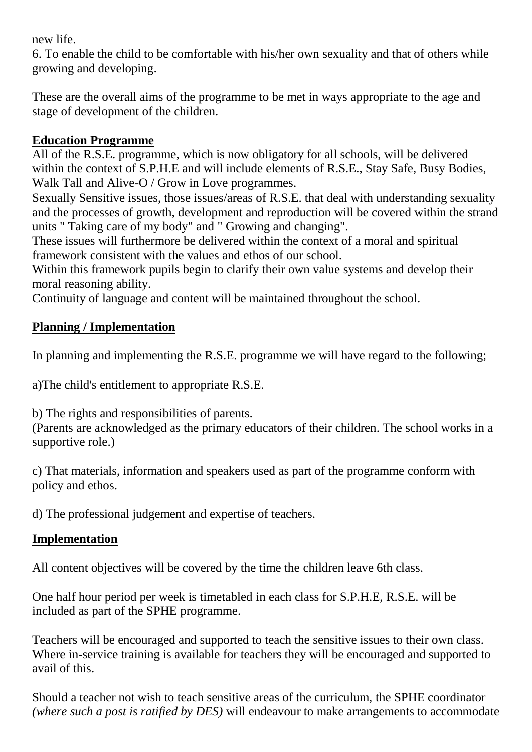new life.

6. To enable the child to be comfortable with his/her own sexuality and that of others while growing and developing.

These are the overall aims of the programme to be met in ways appropriate to the age and stage of development of the children.

#### **Education Programme**

All of the R.S.E. programme, which is now obligatory for all schools, will be delivered within the context of S.P.H.E and will include elements of R.S.E., Stay Safe, Busy Bodies, Walk Tall and Alive-O / Grow in Love programmes.

Sexually Sensitive issues, those issues/areas of R.S.E. that deal with understanding sexuality and the processes of growth, development and reproduction will be covered within the strand units " Taking care of my body" and " Growing and changing".

These issues will furthermore be delivered within the context of a moral and spiritual framework consistent with the values and ethos of our school.

Within this framework pupils begin to clarify their own value systems and develop their moral reasoning ability.

Continuity of language and content will be maintained throughout the school.

#### **Planning / Implementation**

In planning and implementing the R.S.E. programme we will have regard to the following;

a)The child's entitlement to appropriate R.S.E.

b) The rights and responsibilities of parents.

(Parents are acknowledged as the primary educators of their children. The school works in a supportive role.)

c) That materials, information and speakers used as part of the programme conform with policy and ethos.

d) The professional judgement and expertise of teachers.

#### **Implementation**

All content objectives will be covered by the time the children leave 6th class.

One half hour period per week is timetabled in each class for S.P.H.E, R.S.E. will be included as part of the SPHE programme.

Teachers will be encouraged and supported to teach the sensitive issues to their own class. Where in-service training is available for teachers they will be encouraged and supported to avail of this.

Should a teacher not wish to teach sensitive areas of the curriculum, the SPHE coordinator *(where such a post is ratified by DES)* will endeavour to make arrangements to accommodate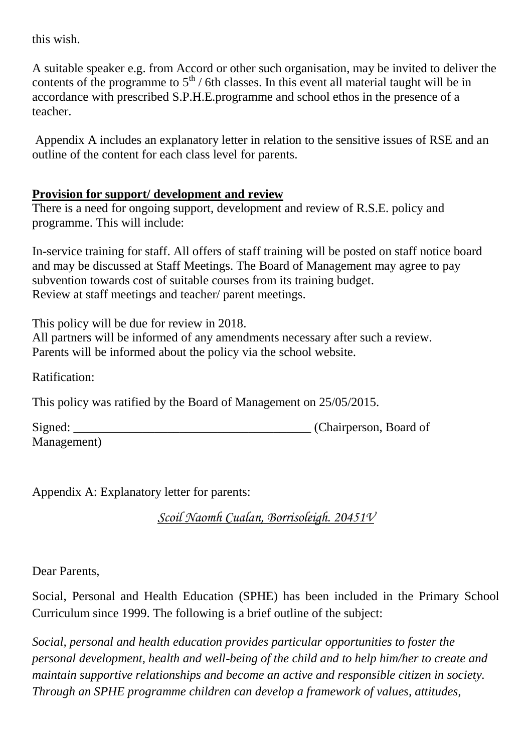this wish.

A suitable speaker e.g. from Accord or other such organisation, may be invited to deliver the contents of the programme to  $5<sup>th</sup>$  / 6th classes. In this event all material taught will be in accordance with prescribed S.P.H.E.programme and school ethos in the presence of a teacher.

Appendix A includes an explanatory letter in relation to the sensitive issues of RSE and an outline of the content for each class level for parents.

#### **Provision for support/ development and review**

There is a need for ongoing support, development and review of R.S.E. policy and programme. This will include:

In-service training for staff. All offers of staff training will be posted on staff notice board and may be discussed at Staff Meetings. The Board of Management may agree to pay subvention towards cost of suitable courses from its training budget. Review at staff meetings and teacher/ parent meetings.

This policy will be due for review in 2018.

All partners will be informed of any amendments necessary after such a review. Parents will be informed about the policy via the school website.

Ratification:

This policy was ratified by the Board of Management on 25/05/2015.

Signed: Chairperson, Board of Management)

Appendix A: Explanatory letter for parents:

*Scoil Naomh Cualan, Borrisoleigh. 20451V*

Dear Parents,

Social, Personal and Health Education (SPHE) has been included in the Primary School Curriculum since 1999. The following is a brief outline of the subject:

*Social, personal and health education provides particular opportunities to foster the personal development, health and well-being of the child and to help him/her to create and maintain supportive relationships and become an active and responsible citizen in society. Through an SPHE programme children can develop a framework of values, attitudes,*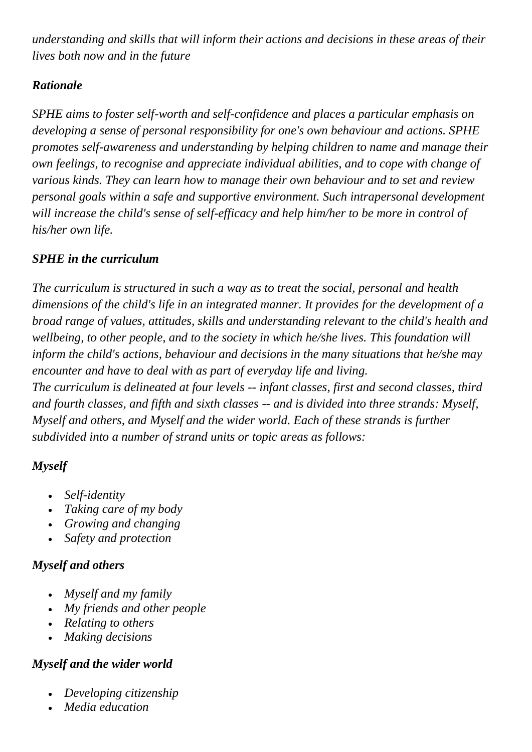*understanding and skills that will inform their actions and decisions in these areas of their lives both now and in the future*

### *Rationale*

*SPHE aims to foster self-worth and self-confidence and places a particular emphasis on developing a sense of personal responsibility for one's own behaviour and actions. SPHE promotes self-awareness and understanding by helping children to name and manage their own feelings, to recognise and appreciate individual abilities, and to cope with change of various kinds. They can learn how to manage their own behaviour and to set and review personal goals within a safe and supportive environment. Such intrapersonal development will increase the child's sense of self-efficacy and help him/her to be more in control of his/her own life.*

### *SPHE in the curriculum*

*The curriculum is structured in such a way as to treat the social, personal and health dimensions of the child's life in an integrated manner. It provides for the development of a broad range of values, attitudes, skills and understanding relevant to the child's health and wellbeing, to other people, and to the society in which he/she lives. This foundation will inform the child's actions, behaviour and decisions in the many situations that he/she may encounter and have to deal with as part of everyday life and living. The curriculum is delineated at four levels -- infant classes, first and second classes, third and fourth classes, and fifth and sixth classes -- and is divided into three strands: Myself, Myself and others, and Myself and the wider world. Each of these strands is further subdivided into a number of strand units or topic areas as follows:*

# *Myself*

- *Self-identity*
- *Taking care of my body*
- *Growing and changing*
- *Safety and protection*

# *Myself and others*

- *Myself and my family*
- *My friends and other people*
- *Relating to others*
- *Making decisions*

# *Myself and the wider world*

- *Developing citizenship*
- *Media education*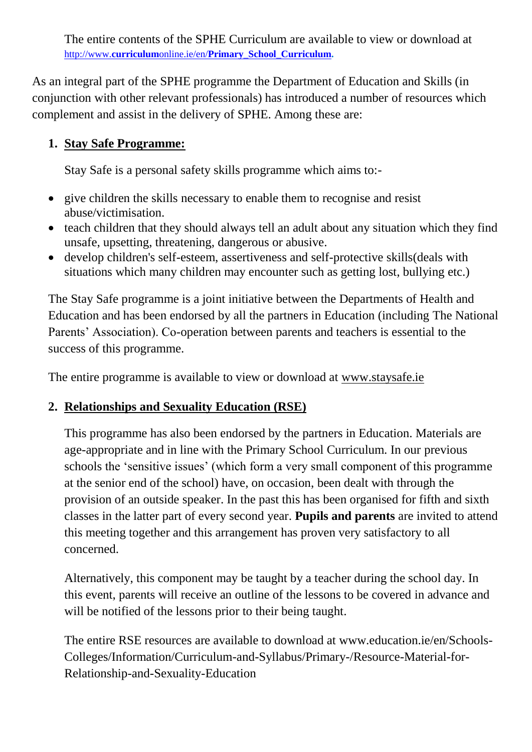The entire contents of the SPHE Curriculum are available to view or download at http://www.**curriculum**online.ie/en/**Primary**\_**School**\_**[Curriculum.](http://www.curriculumonline.ie/en/Primary_School_Curriculum)**

As an integral part of the SPHE programme the Department of Education and Skills (in conjunction with other relevant professionals) has introduced a number of resources which complement and assist in the delivery of SPHE. Among these are:

### **1. Stay Safe Programme:**

Stay Safe is a personal safety skills programme which aims to:-

- give children the skills necessary to enable them to recognise and resist abuse/victimisation.
- teach children that they should always tell an adult about any situation which they find unsafe, upsetting, threatening, dangerous or abusive.
- develop children's self-esteem, assertiveness and self-protective skills(deals with situations which many children may encounter such as getting lost, bullying etc.)

The Stay Safe programme is a joint initiative between the Departments of Health and Education and has been endorsed by all the partners in Education (including The National Parents' Association). Co-operation between parents and teachers is essential to the success of this programme.

The entire programme is available to view or download at www.staysafe.ie

### **2. Relationships and Sexuality Education (RSE)**

This programme has also been endorsed by the partners in Education. Materials are age-appropriate and in line with the Primary School Curriculum. In our previous schools the 'sensitive issues' (which form a very small component of this programme at the senior end of the school) have, on occasion, been dealt with through the provision of an outside speaker. In the past this has been organised for fifth and sixth classes in the latter part of every second year. **Pupils and parents** are invited to attend this meeting together and this arrangement has proven very satisfactory to all concerned.

Alternatively, this component may be taught by a teacher during the school day. In this event, parents will receive an outline of the lessons to be covered in advance and will be notified of the lessons prior to their being taught.

The entire RSE resources are available to download at www.education.ie/en/Schools-Colleges/Information/Curriculum-and-Syllabus/Primary-/Resource-Material-for-Relationship-and-Sexuality-Education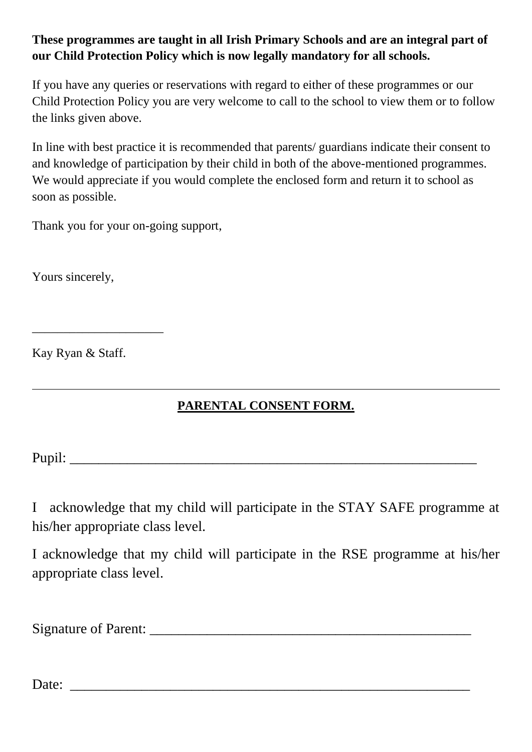### **These programmes are taught in all Irish Primary Schools and are an integral part of our Child Protection Policy which is now legally mandatory for all schools.**

If you have any queries or reservations with regard to either of these programmes or our Child Protection Policy you are very welcome to call to the school to view them or to follow the links given above.

In line with best practice it is recommended that parents/ guardians indicate their consent to and knowledge of participation by their child in both of the above-mentioned programmes. We would appreciate if you would complete the enclosed form and return it to school as soon as possible.

Thank you for your on-going support,

Yours sincerely,

Kay Ryan & Staff.

\_\_\_\_\_\_\_\_\_\_\_\_\_\_\_\_\_\_\_\_\_

# **PARENTAL CONSENT FORM.**

Pupil:  $\Box$ 

I acknowledge that my child will participate in the STAY SAFE programme at his/her appropriate class level.

I acknowledge that my child will participate in the RSE programme at his/her appropriate class level.

Signature of Parent:

Date: